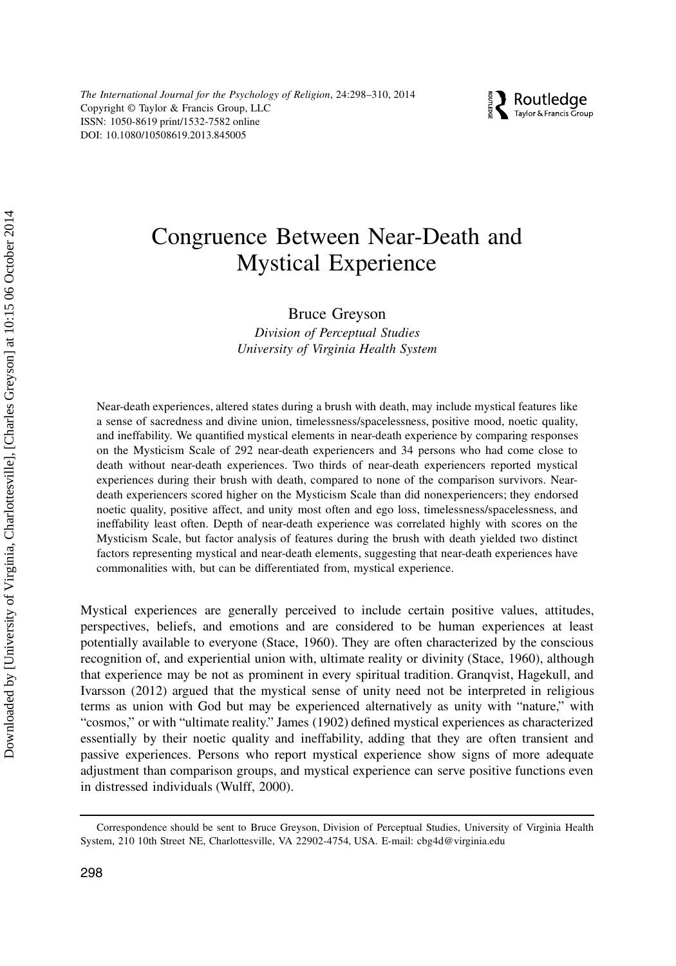The International Journal for the Psychology of Religion, 24:298–310, 2014 Copyright © Taylor & Francis Group, LLC ISSN: 1050-8619 print/1532-7582 online DOI: 10.1080/10508619.2013.845005



# Congruence Between Near-Death and Mystical Experience

Bruce Greyson

Division of Perceptual Studies University of Virginia Health System

Near-death experiences, altered states during a brush with death, may include mystical features like a sense of sacredness and divine union, timelessness/spacelessness, positive mood, noetic quality, and ineffability. We quantified mystical elements in near-death experience by comparing responses on the Mysticism Scale of 292 near-death experiencers and 34 persons who had come close to death without near-death experiences. Two thirds of near-death experiencers reported mystical experiences during their brush with death, compared to none of the comparison survivors. Neardeath experiencers scored higher on the Mysticism Scale than did nonexperiencers; they endorsed noetic quality, positive affect, and unity most often and ego loss, timelessness/spacelessness, and ineffability least often. Depth of near-death experience was correlated highly with scores on the Mysticism Scale, but factor analysis of features during the brush with death yielded two distinct factors representing mystical and near-death elements, suggesting that near-death experiences have commonalities with, but can be differentiated from, mystical experience.

Mystical experiences are generally perceived to include certain positive values, attitudes, perspectives, beliefs, and emotions and are considered to be human experiences at least potentially available to everyone (Stace, 1960). They are often characterized by the conscious recognition of, and experiential union with, ultimate reality or divinity (Stace, 1960), although that experience may be not as prominent in every spiritual tradition. Granqvist, Hagekull, and Ivarsson (2012) argued that the mystical sense of unity need not be interpreted in religious terms as union with God but may be experienced alternatively as unity with "nature," with "cosmos," or with "ultimate reality." James (1902) defined mystical experiences as characterized essentially by their noetic quality and ineffability, adding that they are often transient and passive experiences. Persons who report mystical experience show signs of more adequate adjustment than comparison groups, and mystical experience can serve positive functions even in distressed individuals (Wulff, 2000).

Correspondence should be sent to Bruce Greyson, Division of Perceptual Studies, University of Virginia Health System, 210 10th Street NE, Charlottesville, VA 22902-4754, USA. E-mail: cbg4d@virginia.edu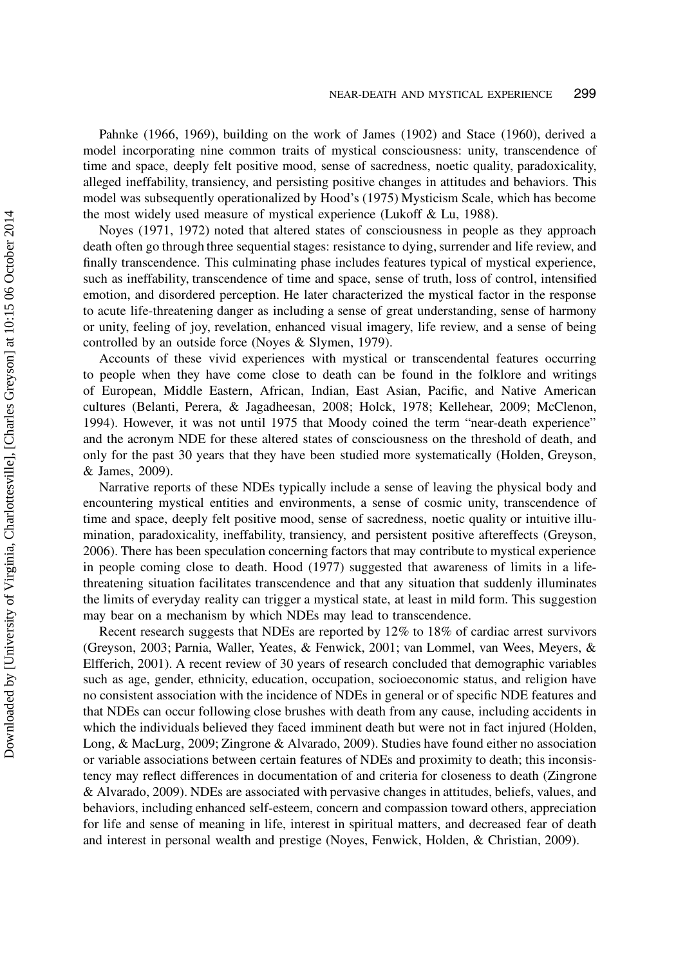Pahnke (1966, 1969), building on the work of James (1902) and Stace (1960), derived a model incorporating nine common traits of mystical consciousness: unity, transcendence of time and space, deeply felt positive mood, sense of sacredness, noetic quality, paradoxicality, alleged ineffability, transiency, and persisting positive changes in attitudes and behaviors. This model was subsequently operationalized by Hood's (1975) Mysticism Scale, which has become the most widely used measure of mystical experience (Lukoff & Lu, 1988).

Noyes (1971, 1972) noted that altered states of consciousness in people as they approach death often go through three sequential stages: resistance to dying, surrender and life review, and finally transcendence. This culminating phase includes features typical of mystical experience, such as ineffability, transcendence of time and space, sense of truth, loss of control, intensified emotion, and disordered perception. He later characterized the mystical factor in the response to acute life-threatening danger as including a sense of great understanding, sense of harmony or unity, feeling of joy, revelation, enhanced visual imagery, life review, and a sense of being controlled by an outside force (Noyes & Slymen, 1979).

Accounts of these vivid experiences with mystical or transcendental features occurring to people when they have come close to death can be found in the folklore and writings of European, Middle Eastern, African, Indian, East Asian, Pacific, and Native American cultures (Belanti, Perera, & Jagadheesan, 2008; Holck, 1978; Kellehear, 2009; McClenon, 1994). However, it was not until 1975 that Moody coined the term "near-death experience" and the acronym NDE for these altered states of consciousness on the threshold of death, and only for the past 30 years that they have been studied more systematically (Holden, Greyson, & James, 2009).

Narrative reports of these NDEs typically include a sense of leaving the physical body and encountering mystical entities and environments, a sense of cosmic unity, transcendence of time and space, deeply felt positive mood, sense of sacredness, noetic quality or intuitive illumination, paradoxicality, ineffability, transiency, and persistent positive aftereffects (Greyson, 2006). There has been speculation concerning factors that may contribute to mystical experience in people coming close to death. Hood (1977) suggested that awareness of limits in a lifethreatening situation facilitates transcendence and that any situation that suddenly illuminates the limits of everyday reality can trigger a mystical state, at least in mild form. This suggestion may bear on a mechanism by which NDEs may lead to transcendence.

Recent research suggests that NDEs are reported by 12% to 18% of cardiac arrest survivors (Greyson, 2003; Parnia, Waller, Yeates, & Fenwick, 2001; van Lommel, van Wees, Meyers, & Elfferich, 2001). A recent review of 30 years of research concluded that demographic variables such as age, gender, ethnicity, education, occupation, socioeconomic status, and religion have no consistent association with the incidence of NDEs in general or of specific NDE features and that NDEs can occur following close brushes with death from any cause, including accidents in which the individuals believed they faced imminent death but were not in fact injured (Holden, Long, & MacLurg, 2009; Zingrone & Alvarado, 2009). Studies have found either no association or variable associations between certain features of NDEs and proximity to death; this inconsistency may reflect differences in documentation of and criteria for closeness to death (Zingrone & Alvarado, 2009). NDEs are associated with pervasive changes in attitudes, beliefs, values, and behaviors, including enhanced self-esteem, concern and compassion toward others, appreciation for life and sense of meaning in life, interest in spiritual matters, and decreased fear of death and interest in personal wealth and prestige (Noyes, Fenwick, Holden, & Christian, 2009).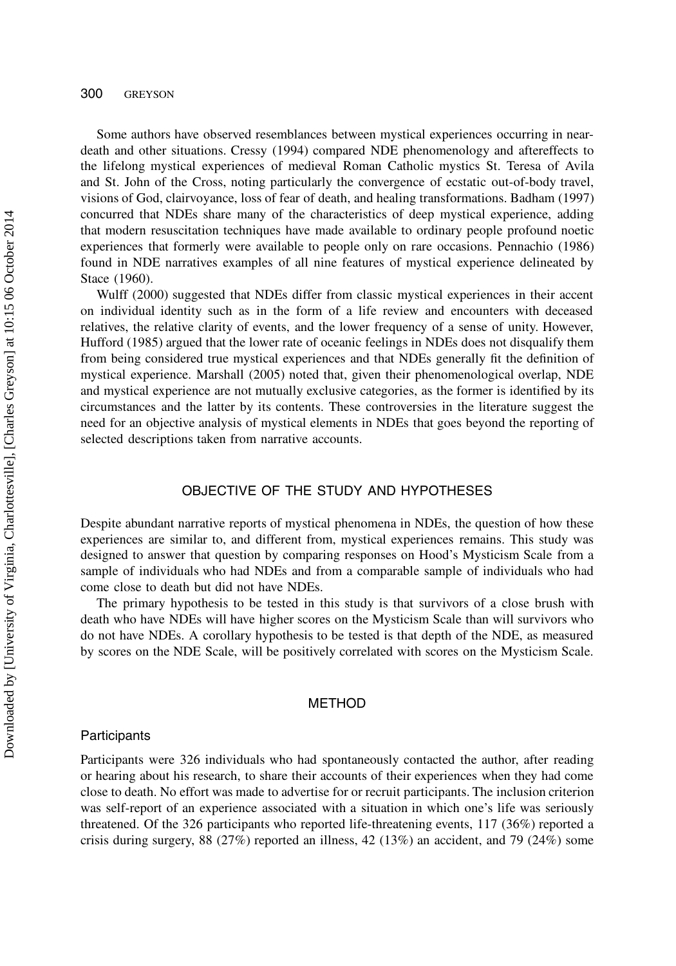Some authors have observed resemblances between mystical experiences occurring in neardeath and other situations. Cressy (1994) compared NDE phenomenology and aftereffects to the lifelong mystical experiences of medieval Roman Catholic mystics St. Teresa of Avila and St. John of the Cross, noting particularly the convergence of ecstatic out-of-body travel, visions of God, clairvoyance, loss of fear of death, and healing transformations. Badham (1997) concurred that NDEs share many of the characteristics of deep mystical experience, adding that modern resuscitation techniques have made available to ordinary people profound noetic experiences that formerly were available to people only on rare occasions. Pennachio (1986) found in NDE narratives examples of all nine features of mystical experience delineated by Stace (1960).

Wulff (2000) suggested that NDEs differ from classic mystical experiences in their accent on individual identity such as in the form of a life review and encounters with deceased relatives, the relative clarity of events, and the lower frequency of a sense of unity. However, Hufford (1985) argued that the lower rate of oceanic feelings in NDEs does not disqualify them from being considered true mystical experiences and that NDEs generally fit the definition of mystical experience. Marshall (2005) noted that, given their phenomenological overlap, NDE and mystical experience are not mutually exclusive categories, as the former is identified by its circumstances and the latter by its contents. These controversies in the literature suggest the need for an objective analysis of mystical elements in NDEs that goes beyond the reporting of selected descriptions taken from narrative accounts.

# OBJECTIVE OF THE STUDY AND HYPOTHESES

Despite abundant narrative reports of mystical phenomena in NDEs, the question of how these experiences are similar to, and different from, mystical experiences remains. This study was designed to answer that question by comparing responses on Hood's Mysticism Scale from a sample of individuals who had NDEs and from a comparable sample of individuals who had come close to death but did not have NDEs.

The primary hypothesis to be tested in this study is that survivors of a close brush with death who have NDEs will have higher scores on the Mysticism Scale than will survivors who do not have NDEs. A corollary hypothesis to be tested is that depth of the NDE, as measured by scores on the NDE Scale, will be positively correlated with scores on the Mysticism Scale.

#### METHOD

#### Participants

Participants were 326 individuals who had spontaneously contacted the author, after reading or hearing about his research, to share their accounts of their experiences when they had come close to death. No effort was made to advertise for or recruit participants. The inclusion criterion was self-report of an experience associated with a situation in which one's life was seriously threatened. Of the 326 participants who reported life-threatening events, 117 (36%) reported a crisis during surgery, 88 (27%) reported an illness, 42 (13%) an accident, and 79 (24%) some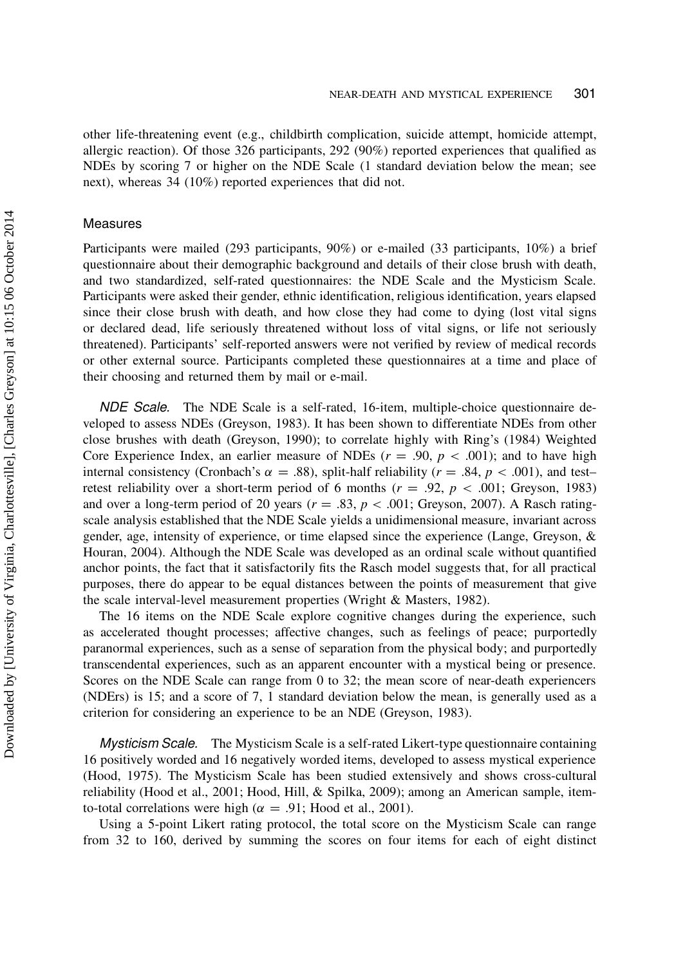other life-threatening event (e.g., childbirth complication, suicide attempt, homicide attempt, allergic reaction). Of those 326 participants, 292 (90%) reported experiences that qualified as NDEs by scoring 7 or higher on the NDE Scale (1 standard deviation below the mean; see next), whereas 34 (10%) reported experiences that did not.

## Measures

Participants were mailed (293 participants, 90%) or e-mailed (33 participants, 10%) a brief questionnaire about their demographic background and details of their close brush with death, and two standardized, self-rated questionnaires: the NDE Scale and the Mysticism Scale. Participants were asked their gender, ethnic identification, religious identification, years elapsed since their close brush with death, and how close they had come to dying (lost vital signs or declared dead, life seriously threatened without loss of vital signs, or life not seriously threatened). Participants' self-reported answers were not verified by review of medical records or other external source. Participants completed these questionnaires at a time and place of their choosing and returned them by mail or e-mail.

NDE Scale. The NDE Scale is a self-rated, 16-item, multiple-choice questionnaire developed to assess NDEs (Greyson, 1983). It has been shown to differentiate NDEs from other close brushes with death (Greyson, 1990); to correlate highly with Ring's (1984) Weighted Core Experience Index, an earlier measure of NDEs ( $r = .90$ ,  $p < .001$ ); and to have high internal consistency (Cronbach's  $\alpha = .88$ ), split-half reliability ( $r = .84$ ,  $p < .001$ ), and testretest reliability over a short-term period of 6 months ( $r = .92$ ,  $p < .001$ ; Greyson, 1983) and over a long-term period of 20 years ( $r = .83$ ,  $p < .001$ ; Greyson, 2007). A Rasch ratingscale analysis established that the NDE Scale yields a unidimensional measure, invariant across gender, age, intensity of experience, or time elapsed since the experience (Lange, Greyson, & Houran, 2004). Although the NDE Scale was developed as an ordinal scale without quantified anchor points, the fact that it satisfactorily fits the Rasch model suggests that, for all practical purposes, there do appear to be equal distances between the points of measurement that give the scale interval-level measurement properties (Wright & Masters, 1982).

The 16 items on the NDE Scale explore cognitive changes during the experience, such as accelerated thought processes; affective changes, such as feelings of peace; purportedly paranormal experiences, such as a sense of separation from the physical body; and purportedly transcendental experiences, such as an apparent encounter with a mystical being or presence. Scores on the NDE Scale can range from 0 to 32; the mean score of near-death experiencers (NDErs) is 15; and a score of 7, 1 standard deviation below the mean, is generally used as a criterion for considering an experience to be an NDE (Greyson, 1983).

Mysticism Scale. The Mysticism Scale is a self-rated Likert-type questionnaire containing 16 positively worded and 16 negatively worded items, developed to assess mystical experience (Hood, 1975). The Mysticism Scale has been studied extensively and shows cross-cultural reliability (Hood et al., 2001; Hood, Hill, & Spilka, 2009); among an American sample, itemto-total correlations were high ( $\alpha = .91$ ; Hood et al., 2001).

Using a 5-point Likert rating protocol, the total score on the Mysticism Scale can range from 32 to 160, derived by summing the scores on four items for each of eight distinct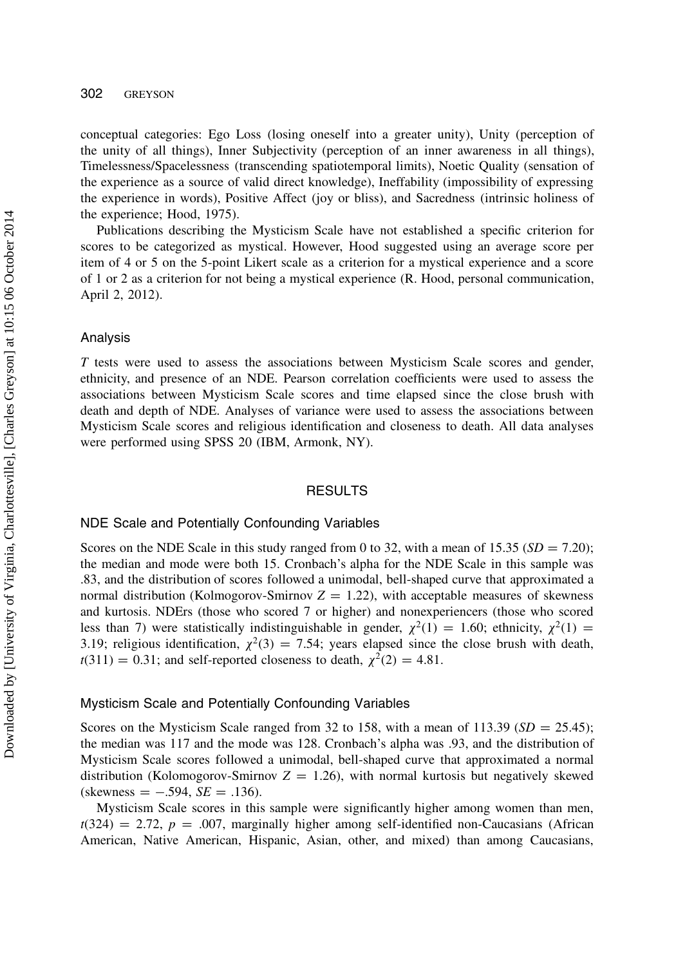conceptual categories: Ego Loss (losing oneself into a greater unity), Unity (perception of the unity of all things), Inner Subjectivity (perception of an inner awareness in all things), Timelessness/Spacelessness (transcending spatiotemporal limits), Noetic Quality (sensation of the experience as a source of valid direct knowledge), Ineffability (impossibility of expressing the experience in words), Positive Affect (joy or bliss), and Sacredness (intrinsic holiness of the experience; Hood, 1975).

Publications describing the Mysticism Scale have not established a specific criterion for scores to be categorized as mystical. However, Hood suggested using an average score per item of 4 or 5 on the 5-point Likert scale as a criterion for a mystical experience and a score of 1 or 2 as a criterion for not being a mystical experience (R. Hood, personal communication, April 2, 2012).

#### Analysis

T tests were used to assess the associations between Mysticism Scale scores and gender, ethnicity, and presence of an NDE. Pearson correlation coefficients were used to assess the associations between Mysticism Scale scores and time elapsed since the close brush with death and depth of NDE. Analyses of variance were used to assess the associations between Mysticism Scale scores and religious identification and closeness to death. All data analyses were performed using SPSS 20 (IBM, Armonk, NY).

#### RESULTS

#### NDE Scale and Potentially Confounding Variables

Scores on the NDE Scale in this study ranged from 0 to 32, with a mean of 15.35  $(SD = 7.20)$ ; the median and mode were both 15. Cronbach's alpha for the NDE Scale in this sample was .83, and the distribution of scores followed a unimodal, bell-shaped curve that approximated a normal distribution (Kolmogorov-Smirnov  $Z = 1.22$ ), with acceptable measures of skewness and kurtosis. NDErs (those who scored 7 or higher) and nonexperiencers (those who scored less than 7) were statistically indistinguishable in gender,  $\chi^2(1) = 1.60$ ; ethnicity,  $\chi^2(1) =$ 3.19; religious identification,  $\chi^2(3) = 7.54$ ; years elapsed since the close brush with death,  $t(311) = 0.31$ ; and self-reported closeness to death,  $\chi^2(2) = 4.81$ .

#### Mysticism Scale and Potentially Confounding Variables

Scores on the Mysticism Scale ranged from 32 to 158, with a mean of 113.39 ( $SD = 25.45$ ); the median was 117 and the mode was 128. Cronbach's alpha was .93, and the distribution of Mysticism Scale scores followed a unimodal, bell-shaped curve that approximated a normal distribution (Kolomogorov-Smirnov  $Z = 1.26$ ), with normal kurtosis but negatively skewed (skewness  $= -.594$ ,  $SE = .136$ ).

Mysticism Scale scores in this sample were significantly higher among women than men,  $t(324) = 2.72$ ,  $p = .007$ , marginally higher among self-identified non-Caucasians (African American, Native American, Hispanic, Asian, other, and mixed) than among Caucasians,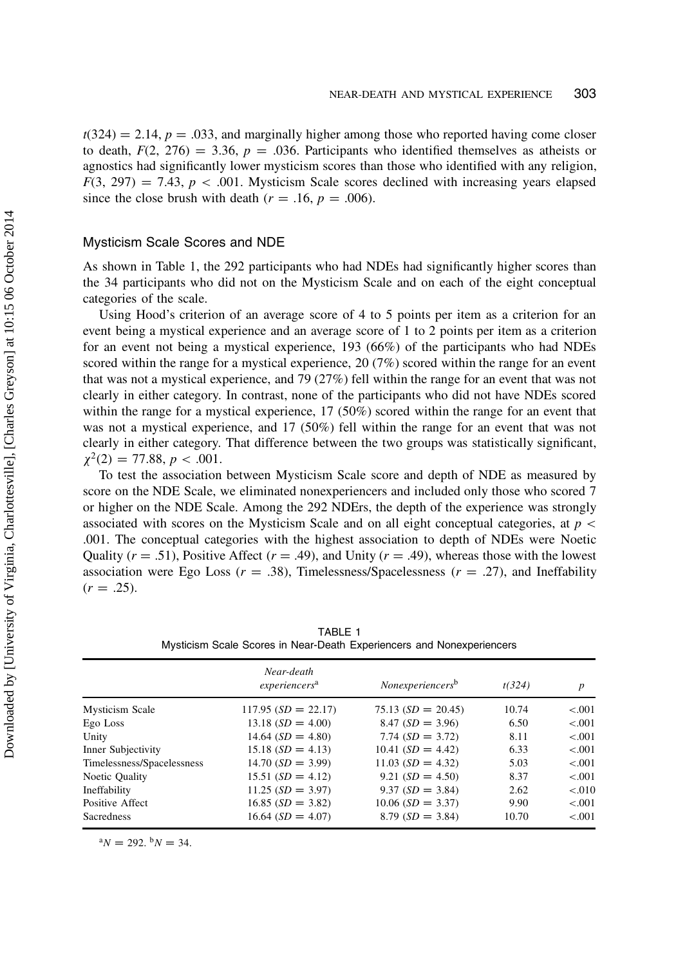$t(324) = 2.14$ ,  $p = .033$ , and marginally higher among those who reported having come closer to death,  $F(2, 276) = 3.36$ ,  $p = .036$ . Participants who identified themselves as atheists or agnostics had significantly lower mysticism scores than those who identified with any religion,  $F(3, 297) = 7.43$ ,  $p < .001$ . Mysticism Scale scores declined with increasing years elapsed since the close brush with death ( $r = .16$ ,  $p = .006$ ).

## Mysticism Scale Scores and NDE

As shown in Table 1, the 292 participants who had NDEs had significantly higher scores than the 34 participants who did not on the Mysticism Scale and on each of the eight conceptual categories of the scale.

Using Hood's criterion of an average score of 4 to 5 points per item as a criterion for an event being a mystical experience and an average score of 1 to 2 points per item as a criterion for an event not being a mystical experience, 193 (66%) of the participants who had NDEs scored within the range for a mystical experience, 20 (7%) scored within the range for an event that was not a mystical experience, and 79 (27%) fell within the range for an event that was not clearly in either category. In contrast, none of the participants who did not have NDEs scored within the range for a mystical experience, 17 (50%) scored within the range for an event that was not a mystical experience, and 17 (50%) fell within the range for an event that was not clearly in either category. That difference between the two groups was statistically significant,  $\chi^2(2) = 77.88, p < .001.$ 

To test the association between Mysticism Scale score and depth of NDE as measured by score on the NDE Scale, we eliminated nonexperiencers and included only those who scored 7 or higher on the NDE Scale. Among the 292 NDErs, the depth of the experience was strongly associated with scores on the Mysticism Scale and on all eight conceptual categories, at  $p \lt$ .001. The conceptual categories with the highest association to depth of NDEs were Noetic Quality ( $r = .51$ ), Positive Affect ( $r = .49$ ), and Unity ( $r = .49$ ), whereas those with the lowest association were Ego Loss ( $r = .38$ ), Timelessness/Spacelessness ( $r = .27$ ), and Ineffability  $(r = .25)$ .

|                            | Near-death<br>experiencers <sup>a</sup> | Nonexperiencers <sup>b</sup> | t(324) | p       |
|----------------------------|-----------------------------------------|------------------------------|--------|---------|
| Mysticism Scale            | $117.95(SD = 22.17)$                    | $75.13(SD = 20.45)$          | 10.74  | < 0.001 |
| Ego Loss                   | $13.18(SD = 4.00)$                      | $8.47(SD = 3.96)$            | 6.50   | < 0.001 |
| Unity                      | $14.64(SD = 4.80)$                      | 7.74 $(SD = 3.72)$           | 8.11   | < 0.001 |
| Inner Subjectivity         | $15.18(SD = 4.13)$                      | $10.41(SD = 4.42)$           | 6.33   | < .001  |
| Timelessness/Spacelessness | $14.70(SD = 3.99)$                      | $11.03(SD = 4.32)$           | 5.03   | < .001  |
| Noetic Quality             | $15.51(SD = 4.12)$                      | $9.21(SD = 4.50)$            | 8.37   | < 0.001 |
| Ineffability               | $11.25(SD = 3.97)$                      | $9.37(SD = 3.84)$            | 2.62   | < 0.010 |
| Positive Affect            | $16.85(SD = 3.82)$                      | $10.06$ (SD = 3.37)          | 9.90   | < 0.001 |
| <b>Sacredness</b>          | $16.64(SD = 4.07)$                      | $8.79(SD = 3.84)$            | 10.70  | < 0.001 |

TABLE 1 Mysticism Scale Scores in Near-Death Experiencers and Nonexperiencers

 $N = 292$ .  $N = 34$ .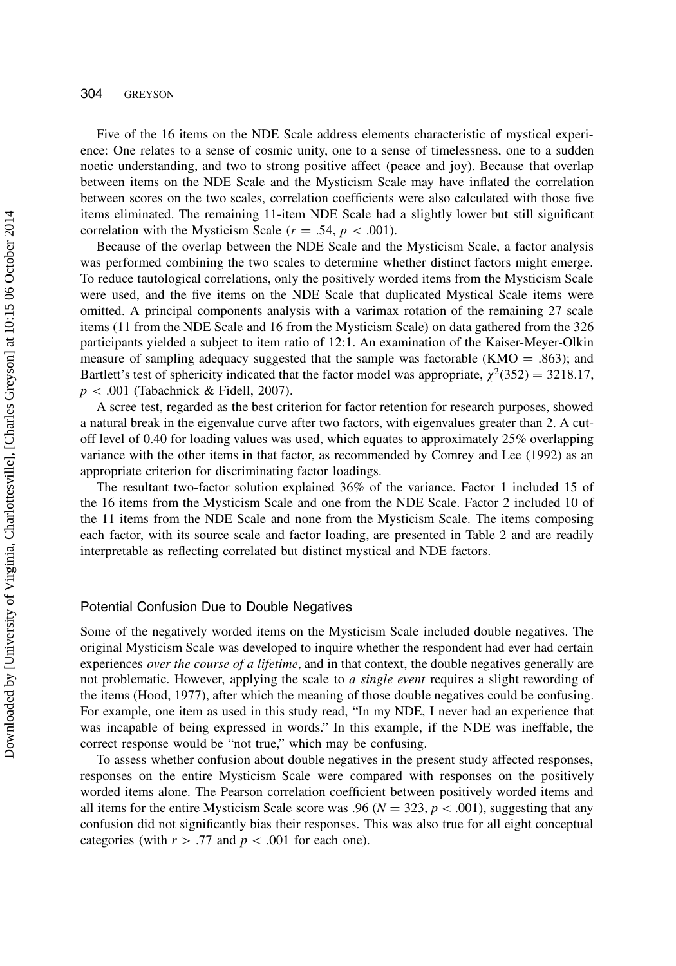#### 304 GREYSON

Five of the 16 items on the NDE Scale address elements characteristic of mystical experience: One relates to a sense of cosmic unity, one to a sense of timelessness, one to a sudden noetic understanding, and two to strong positive affect (peace and joy). Because that overlap between items on the NDE Scale and the Mysticism Scale may have inflated the correlation between scores on the two scales, correlation coefficients were also calculated with those five items eliminated. The remaining 11-item NDE Scale had a slightly lower but still significant correlation with the Mysticism Scale ( $r = .54$ ,  $p < .001$ ).

Because of the overlap between the NDE Scale and the Mysticism Scale, a factor analysis was performed combining the two scales to determine whether distinct factors might emerge. To reduce tautological correlations, only the positively worded items from the Mysticism Scale were used, and the five items on the NDE Scale that duplicated Mystical Scale items were omitted. A principal components analysis with a varimax rotation of the remaining 27 scale items (11 from the NDE Scale and 16 from the Mysticism Scale) on data gathered from the 326 participants yielded a subject to item ratio of 12:1. An examination of the Kaiser-Meyer-Olkin measure of sampling adequacy suggested that the sample was factorable ( $KMO = .863$ ); and Bartlett's test of sphericity indicated that the factor model was appropriate,  $\chi^2(352) = 3218.17$ ,  $p < .001$  (Tabachnick & Fidell, 2007).

A scree test, regarded as the best criterion for factor retention for research purposes, showed a natural break in the eigenvalue curve after two factors, with eigenvalues greater than 2. A cutoff level of 0.40 for loading values was used, which equates to approximately 25% overlapping variance with the other items in that factor, as recommended by Comrey and Lee (1992) as an appropriate criterion for discriminating factor loadings.

The resultant two-factor solution explained 36% of the variance. Factor 1 included 15 of the 16 items from the Mysticism Scale and one from the NDE Scale. Factor 2 included 10 of the 11 items from the NDE Scale and none from the Mysticism Scale. The items composing each factor, with its source scale and factor loading, are presented in Table 2 and are readily interpretable as reflecting correlated but distinct mystical and NDE factors.

## Potential Confusion Due to Double Negatives

Some of the negatively worded items on the Mysticism Scale included double negatives. The original Mysticism Scale was developed to inquire whether the respondent had ever had certain experiences *over the course of a lifetime*, and in that context, the double negatives generally are not problematic. However, applying the scale to *a single event* requires a slight rewording of the items (Hood, 1977), after which the meaning of those double negatives could be confusing. For example, one item as used in this study read, "In my NDE, I never had an experience that was incapable of being expressed in words." In this example, if the NDE was ineffable, the correct response would be "not true," which may be confusing.

To assess whether confusion about double negatives in the present study affected responses, responses on the entire Mysticism Scale were compared with responses on the positively worded items alone. The Pearson correlation coefficient between positively worded items and all items for the entire Mysticism Scale score was .96 ( $N = 323$ ,  $p < .001$ ), suggesting that any confusion did not significantly bias their responses. This was also true for all eight conceptual categories (with  $r > .77$  and  $p < .001$  for each one).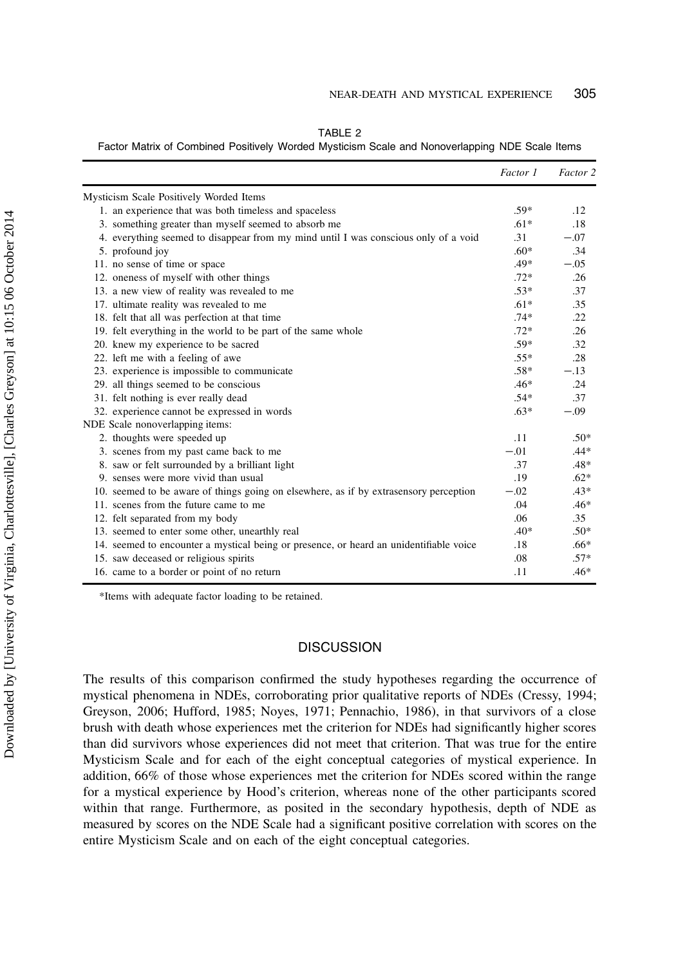|--|--|

Factor Matrix of Combined Positively Worded Mysticism Scale and Nonoverlapping NDE Scale Items

|                                                                                        | Factor 1 | Factor 2 |
|----------------------------------------------------------------------------------------|----------|----------|
| Mysticism Scale Positively Worded Items                                                |          |          |
| 1. an experience that was both timeless and spaceless                                  | $.59*$   | .12      |
| 3. something greater than myself seemed to absorb me                                   | $.61*$   | .18      |
| 4. everything seemed to disappear from my mind until I was conscious only of a void    | .31      | $-.07$   |
| 5. profound joy                                                                        |          | .34      |
| 11. no sense of time or space                                                          | $.49*$   | $-.05$   |
| 12. oneness of myself with other things                                                | $.72*$   | .26      |
| 13. a new view of reality was revealed to me                                           | $.53*$   | .37      |
| 17. ultimate reality was revealed to me                                                | $.61*$   | .35      |
| 18. felt that all was perfection at that time                                          | $.74*$   | .22      |
| 19. felt everything in the world to be part of the same whole                          | $.72*$   | .26      |
| 20. knew my experience to be sacred                                                    | $.59*$   | .32      |
| 22. left me with a feeling of awe                                                      | $.55*$   | .28      |
| 23. experience is impossible to communicate                                            | $.58*$   | $-.13$   |
| 29. all things seemed to be conscious                                                  | $.46*$   | .24      |
| 31. felt nothing is ever really dead                                                   | $.54*$   | .37      |
| 32. experience cannot be expressed in words                                            | $.63*$   | $-.09$   |
| NDE Scale nonoverlapping items:                                                        |          |          |
| 2. thoughts were speeded up                                                            | .11      | $.50*$   |
| 3. scenes from my past came back to me                                                 | $-.01$   | $.44*$   |
| 8. saw or felt surrounded by a brilliant light                                         | .37      | $.48*$   |
| 9. senses were more vivid than usual                                                   | .19      | $.62*$   |
| 10. seemed to be aware of things going on elsewhere, as if by extrasensory perception  | $-.02$   | $.43*$   |
| 11. scenes from the future came to me                                                  | .04      | $.46*$   |
| 12. felt separated from my body                                                        | .06      | .35      |
| 13. seemed to enter some other, unearthly real                                         | $.40*$   | $.50*$   |
| 14. seemed to encounter a mystical being or presence, or heard an unidentifiable voice | .18      | $.66*$   |
| 15. saw deceased or religious spirits                                                  | .08      | $.57*$   |
| 16. came to a border or point of no return                                             | .11      | $.46*$   |

\*Items with adequate factor loading to be retained.

## **DISCUSSION**

The results of this comparison confirmed the study hypotheses regarding the occurrence of mystical phenomena in NDEs, corroborating prior qualitative reports of NDEs (Cressy, 1994; Greyson, 2006; Hufford, 1985; Noyes, 1971; Pennachio, 1986), in that survivors of a close brush with death whose experiences met the criterion for NDEs had significantly higher scores than did survivors whose experiences did not meet that criterion. That was true for the entire Mysticism Scale and for each of the eight conceptual categories of mystical experience. In addition, 66% of those whose experiences met the criterion for NDEs scored within the range for a mystical experience by Hood's criterion, whereas none of the other participants scored within that range. Furthermore, as posited in the secondary hypothesis, depth of NDE as measured by scores on the NDE Scale had a significant positive correlation with scores on the entire Mysticism Scale and on each of the eight conceptual categories.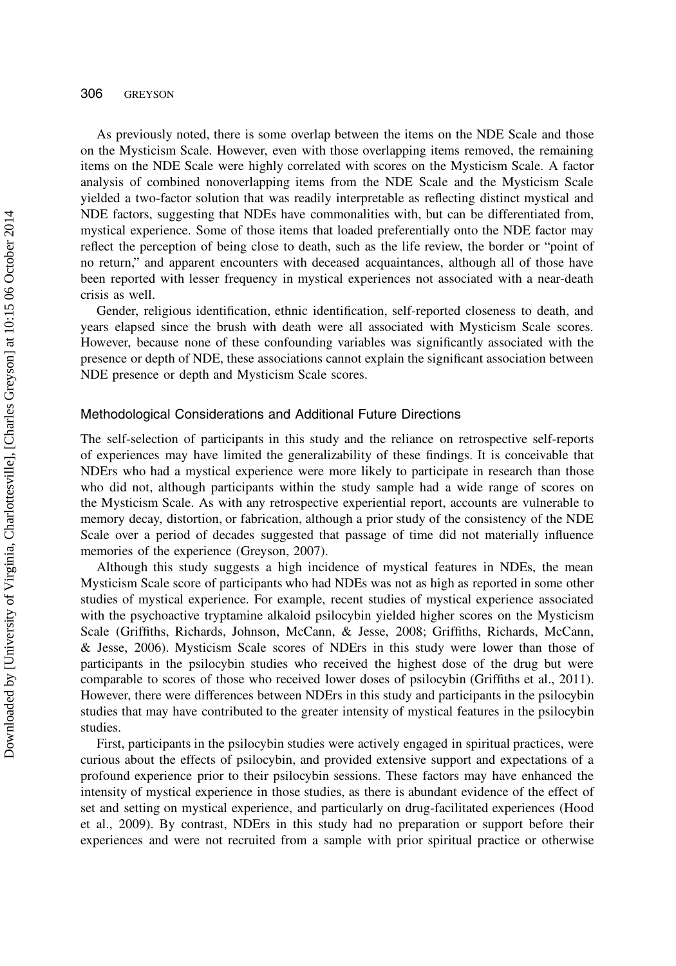As previously noted, there is some overlap between the items on the NDE Scale and those on the Mysticism Scale. However, even with those overlapping items removed, the remaining items on the NDE Scale were highly correlated with scores on the Mysticism Scale. A factor analysis of combined nonoverlapping items from the NDE Scale and the Mysticism Scale yielded a two-factor solution that was readily interpretable as reflecting distinct mystical and NDE factors, suggesting that NDEs have commonalities with, but can be differentiated from, mystical experience. Some of those items that loaded preferentially onto the NDE factor may reflect the perception of being close to death, such as the life review, the border or "point of no return," and apparent encounters with deceased acquaintances, although all of those have been reported with lesser frequency in mystical experiences not associated with a near-death crisis as well.

Gender, religious identification, ethnic identification, self-reported closeness to death, and years elapsed since the brush with death were all associated with Mysticism Scale scores. However, because none of these confounding variables was significantly associated with the presence or depth of NDE, these associations cannot explain the significant association between NDE presence or depth and Mysticism Scale scores.

#### Methodological Considerations and Additional Future Directions

The self-selection of participants in this study and the reliance on retrospective self-reports of experiences may have limited the generalizability of these findings. It is conceivable that NDErs who had a mystical experience were more likely to participate in research than those who did not, although participants within the study sample had a wide range of scores on the Mysticism Scale. As with any retrospective experiential report, accounts are vulnerable to memory decay, distortion, or fabrication, although a prior study of the consistency of the NDE Scale over a period of decades suggested that passage of time did not materially influence memories of the experience (Greyson, 2007).

Although this study suggests a high incidence of mystical features in NDEs, the mean Mysticism Scale score of participants who had NDEs was not as high as reported in some other studies of mystical experience. For example, recent studies of mystical experience associated with the psychoactive tryptamine alkaloid psilocybin yielded higher scores on the Mysticism Scale (Griffiths, Richards, Johnson, McCann, & Jesse, 2008; Griffiths, Richards, McCann, & Jesse, 2006). Mysticism Scale scores of NDErs in this study were lower than those of participants in the psilocybin studies who received the highest dose of the drug but were comparable to scores of those who received lower doses of psilocybin (Griffiths et al., 2011). However, there were differences between NDErs in this study and participants in the psilocybin studies that may have contributed to the greater intensity of mystical features in the psilocybin studies.

First, participants in the psilocybin studies were actively engaged in spiritual practices, were curious about the effects of psilocybin, and provided extensive support and expectations of a profound experience prior to their psilocybin sessions. These factors may have enhanced the intensity of mystical experience in those studies, as there is abundant evidence of the effect of set and setting on mystical experience, and particularly on drug-facilitated experiences (Hood et al., 2009). By contrast, NDErs in this study had no preparation or support before their experiences and were not recruited from a sample with prior spiritual practice or otherwise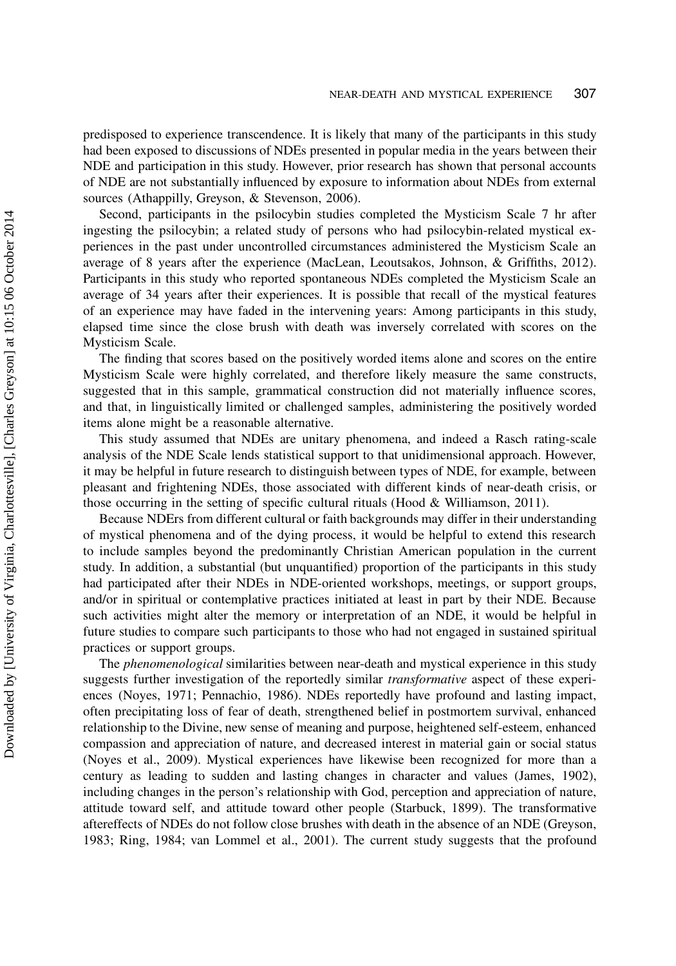predisposed to experience transcendence. It is likely that many of the participants in this study had been exposed to discussions of NDEs presented in popular media in the years between their NDE and participation in this study. However, prior research has shown that personal accounts of NDE are not substantially influenced by exposure to information about NDEs from external sources (Athappilly, Greyson, & Stevenson, 2006).

Second, participants in the psilocybin studies completed the Mysticism Scale 7 hr after ingesting the psilocybin; a related study of persons who had psilocybin-related mystical experiences in the past under uncontrolled circumstances administered the Mysticism Scale an average of 8 years after the experience (MacLean, Leoutsakos, Johnson, & Griffiths, 2012). Participants in this study who reported spontaneous NDEs completed the Mysticism Scale an average of 34 years after their experiences. It is possible that recall of the mystical features of an experience may have faded in the intervening years: Among participants in this study, elapsed time since the close brush with death was inversely correlated with scores on the Mysticism Scale.

The finding that scores based on the positively worded items alone and scores on the entire Mysticism Scale were highly correlated, and therefore likely measure the same constructs, suggested that in this sample, grammatical construction did not materially influence scores, and that, in linguistically limited or challenged samples, administering the positively worded items alone might be a reasonable alternative.

This study assumed that NDEs are unitary phenomena, and indeed a Rasch rating-scale analysis of the NDE Scale lends statistical support to that unidimensional approach. However, it may be helpful in future research to distinguish between types of NDE, for example, between pleasant and frightening NDEs, those associated with different kinds of near-death crisis, or those occurring in the setting of specific cultural rituals (Hood  $&$  Williamson, 2011).

Because NDErs from different cultural or faith backgrounds may differ in their understanding of mystical phenomena and of the dying process, it would be helpful to extend this research to include samples beyond the predominantly Christian American population in the current study. In addition, a substantial (but unquantified) proportion of the participants in this study had participated after their NDEs in NDE-oriented workshops, meetings, or support groups, and/or in spiritual or contemplative practices initiated at least in part by their NDE. Because such activities might alter the memory or interpretation of an NDE, it would be helpful in future studies to compare such participants to those who had not engaged in sustained spiritual practices or support groups.

The *phenomenological* similarities between near-death and mystical experience in this study suggests further investigation of the reportedly similar *transformative* aspect of these experiences (Noyes, 1971; Pennachio, 1986). NDEs reportedly have profound and lasting impact, often precipitating loss of fear of death, strengthened belief in postmortem survival, enhanced relationship to the Divine, new sense of meaning and purpose, heightened self-esteem, enhanced compassion and appreciation of nature, and decreased interest in material gain or social status (Noyes et al., 2009). Mystical experiences have likewise been recognized for more than a century as leading to sudden and lasting changes in character and values (James, 1902), including changes in the person's relationship with God, perception and appreciation of nature, attitude toward self, and attitude toward other people (Starbuck, 1899). The transformative aftereffects of NDEs do not follow close brushes with death in the absence of an NDE (Greyson, 1983; Ring, 1984; van Lommel et al., 2001). The current study suggests that the profound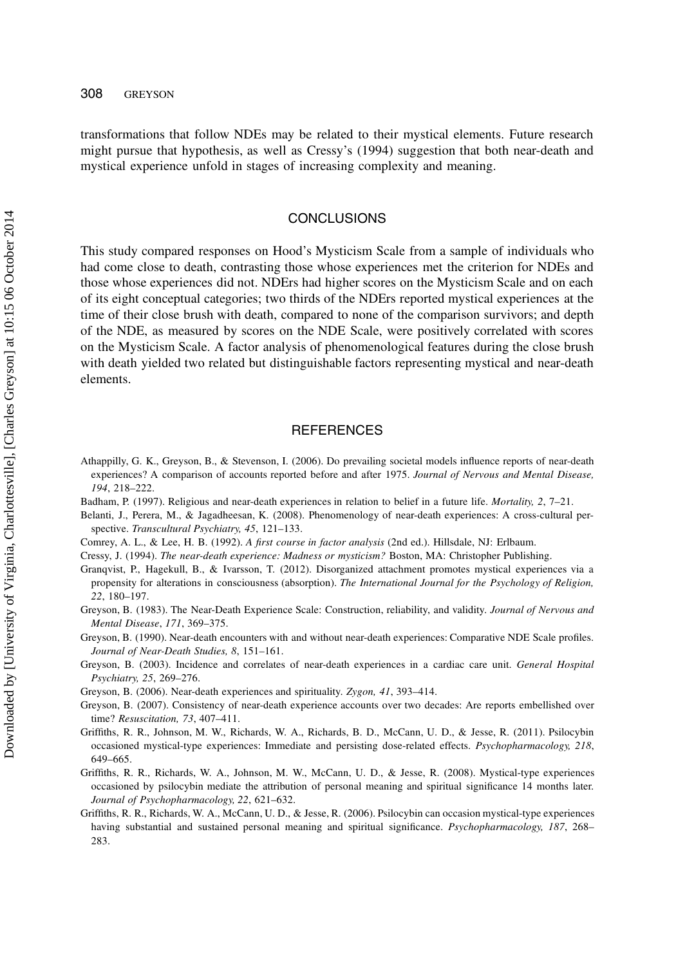transformations that follow NDEs may be related to their mystical elements. Future research might pursue that hypothesis, as well as Cressy's (1994) suggestion that both near-death and mystical experience unfold in stages of increasing complexity and meaning.

#### **CONCLUSIONS**

This study compared responses on Hood's Mysticism Scale from a sample of individuals who had come close to death, contrasting those whose experiences met the criterion for NDEs and those whose experiences did not. NDErs had higher scores on the Mysticism Scale and on each of its eight conceptual categories; two thirds of the NDErs reported mystical experiences at the time of their close brush with death, compared to none of the comparison survivors; and depth of the NDE, as measured by scores on the NDE Scale, were positively correlated with scores on the Mysticism Scale. A factor analysis of phenomenological features during the close brush with death yielded two related but distinguishable factors representing mystical and near-death elements.

## **REFERENCES**

- Athappilly, G. K., Greyson, B., & Stevenson, I. (2006). Do prevailing societal models influence reports of near-death experiences? A comparison of accounts reported before and after 1975. Journal of Nervous and Mental Disease, 194, 218–222.
- Badham, P. (1997). Religious and near-death experiences in relation to belief in a future life. Mortality, 2, 7–21.
- Belanti, J., Perera, M., & Jagadheesan, K. (2008). Phenomenology of near-death experiences: A cross-cultural perspective. Transcultural Psychiatry, 45, 121-133.
- Comrey, A. L., & Lee, H. B. (1992). A first course in factor analysis (2nd ed.). Hillsdale, NJ: Erlbaum.
- Cressy, J. (1994). The near-death experience: Madness or mysticism? Boston, MA: Christopher Publishing.
- Granqvist, P., Hagekull, B., & Ivarsson, T. (2012). Disorganized attachment promotes mystical experiences via a propensity for alterations in consciousness (absorption). The International Journal for the Psychology of Religion, 22, 180–197.
- Greyson, B. (1983). The Near-Death Experience Scale: Construction, reliability, and validity. Journal of Nervous and Mental Disease, 171, 369–375.
- Greyson, B. (1990). Near-death encounters with and without near-death experiences: Comparative NDE Scale profiles. Journal of Near-Death Studies, 8, 151–161.
- Greyson, B. (2003). Incidence and correlates of near-death experiences in a cardiac care unit. General Hospital Psychiatry, 25, 269–276.
- Greyson, B. (2006). Near-death experiences and spirituality. Zygon, 41, 393–414.
- Greyson, B. (2007). Consistency of near-death experience accounts over two decades: Are reports embellished over time? Resuscitation, 73, 407–411.
- Griffiths, R. R., Johnson, M. W., Richards, W. A., Richards, B. D., McCann, U. D., & Jesse, R. (2011). Psilocybin occasioned mystical-type experiences: Immediate and persisting dose-related effects. Psychopharmacology, 218, 649–665.
- Griffiths, R. R., Richards, W. A., Johnson, M. W., McCann, U. D., & Jesse, R. (2008). Mystical-type experiences occasioned by psilocybin mediate the attribution of personal meaning and spiritual significance 14 months later. Journal of Psychopharmacology, 22, 621–632.
- Griffiths, R. R., Richards, W. A., McCann, U. D., & Jesse, R. (2006). Psilocybin can occasion mystical-type experiences having substantial and sustained personal meaning and spiritual significance. Psychopharmacology, 187, 268-283.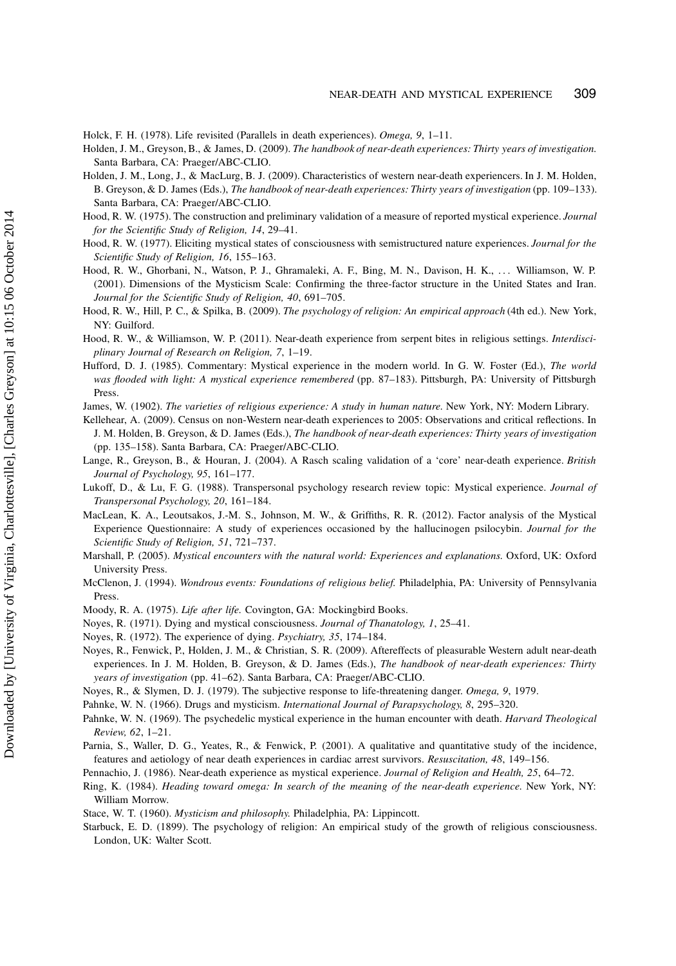Holck, F. H. (1978). Life revisited (Parallels in death experiences). Omega, 9, 1–11.

- Holden, J. M., Greyson, B., & James, D. (2009). The handbook of near-death experiences: Thirty years of investigation. Santa Barbara, CA: Praeger/ABC-CLIO.
- Holden, J. M., Long, J., & MacLurg, B. J. (2009). Characteristics of western near-death experiencers. In J. M. Holden, B. Greyson, & D. James (Eds.), The handbook of near-death experiences: Thirty years of investigation (pp. 109–133). Santa Barbara, CA: Praeger/ABC-CLIO.
- Hood, R. W. (1975). The construction and preliminary validation of a measure of reported mystical experience. Journal for the Scientific Study of Religion, 14, 29–41.
- Hood, R. W. (1977). Eliciting mystical states of consciousness with semistructured nature experiences. Journal for the Scientific Study of Religion, 16, 155–163.
- Hood, R. W., Ghorbani, N., Watson, P. J., Ghramaleki, A. F., Bing, M. N., Davison, H. K., ... Williamson, W. P. (2001). Dimensions of the Mysticism Scale: Confirming the three-factor structure in the United States and Iran. Journal for the Scientific Study of Religion, 40, 691–705.
- Hood, R. W., Hill, P. C., & Spilka, B. (2009). The psychology of religion: An empirical approach (4th ed.). New York, NY: Guilford.
- Hood, R. W., & Williamson, W. P. (2011). Near-death experience from serpent bites in religious settings. Interdisciplinary Journal of Research on Religion, 7, 1–19.
- Hufford, D. J. (1985). Commentary: Mystical experience in the modern world. In G. W. Foster (Ed.), The world was flooded with light: A mystical experience remembered (pp. 87-183). Pittsburgh, PA: University of Pittsburgh Press.
- James, W. (1902). The varieties of religious experience: A study in human nature. New York, NY: Modern Library.
- Kellehear, A. (2009). Census on non-Western near-death experiences to 2005: Observations and critical reflections. In J. M. Holden, B. Greyson, & D. James (Eds.), The handbook of near-death experiences: Thirty years of investigation (pp. 135–158). Santa Barbara, CA: Praeger/ABC-CLIO.
- Lange, R., Greyson, B., & Houran, J. (2004). A Rasch scaling validation of a 'core' near-death experience. British Journal of Psychology, 95, 161–177.
- Lukoff, D., & Lu, F. G. (1988). Transpersonal psychology research review topic: Mystical experience. Journal of Transpersonal Psychology, 20, 161–184.
- MacLean, K. A., Leoutsakos, J.-M. S., Johnson, M. W., & Griffiths, R. R. (2012). Factor analysis of the Mystical Experience Questionnaire: A study of experiences occasioned by the hallucinogen psilocybin. Journal for the Scientific Study of Religion, 51, 721–737.
- Marshall, P. (2005). Mystical encounters with the natural world: Experiences and explanations. Oxford, UK: Oxford University Press.
- McClenon, J. (1994). Wondrous events: Foundations of religious belief. Philadelphia, PA: University of Pennsylvania Press.
- Moody, R. A. (1975). Life after life. Covington, GA: Mockingbird Books.
- Noyes, R. (1971). Dying and mystical consciousness. Journal of Thanatology, 1, 25–41.
- Noyes, R. (1972). The experience of dying. Psychiatry, 35, 174–184.
- Noyes, R., Fenwick, P., Holden, J. M., & Christian, S. R. (2009). Aftereffects of pleasurable Western adult near-death experiences. In J. M. Holden, B. Greyson, & D. James (Eds.), The handbook of near-death experiences: Thirty years of investigation (pp. 41–62). Santa Barbara, CA: Praeger/ABC-CLIO.
- Noyes, R., & Slymen, D. J. (1979). The subjective response to life-threatening danger. Omega, 9, 1979.
- Pahnke, W. N. (1966). Drugs and mysticism. International Journal of Parapsychology, 8, 295–320.
- Pahnke, W. N. (1969). The psychedelic mystical experience in the human encounter with death. Harvard Theological Review, 62, 1–21.
- Parnia, S., Waller, D. G., Yeates, R., & Fenwick, P. (2001). A qualitative and quantitative study of the incidence, features and aetiology of near death experiences in cardiac arrest survivors. Resuscitation, 48, 149-156.
- Pennachio, J. (1986). Near-death experience as mystical experience. Journal of Religion and Health, 25, 64–72.
- Ring, K. (1984). Heading toward omega: In search of the meaning of the near-death experience. New York, NY: William Morrow.
- Stace, W. T. (1960). Mysticism and philosophy. Philadelphia, PA: Lippincott.
- Starbuck, E. D. (1899). The psychology of religion: An empirical study of the growth of religious consciousness. London, UK: Walter Scott.